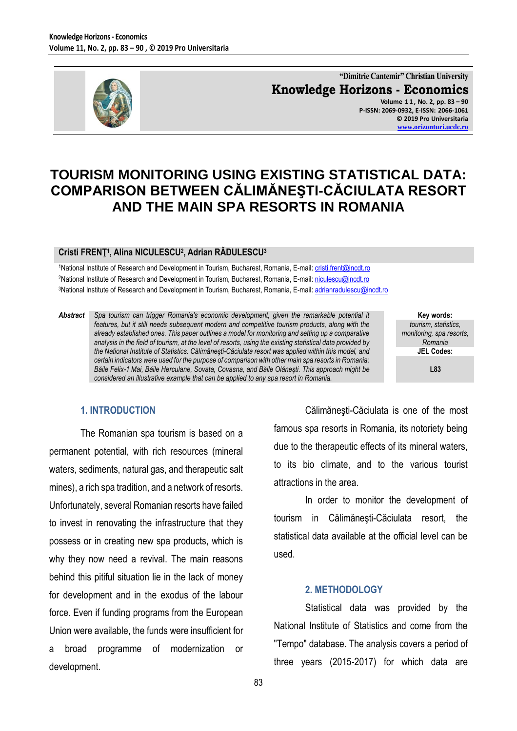

**"Dimitrie Cantemir" Christian University Knowledge Horizons - Economics Volume 1 1 , No. 2, pp. 83 – 90 P-ISSN: 2069-0932, E-ISSN: 2066-1061**

**© 2019 Pro Universitaria [www.orizonturi.ucdc.ro](http://www.orizonturi.ucdc.ro/)**

# **TOURISM MONITORING USING EXISTING STATISTICAL DATA: COMPARISON BETWEEN CĂLIMĂNEŞTI-CĂCIULATA RESORT AND THE MAIN SPA RESORTS IN ROMANIA**

#### **Cristi FRENŢ 1 , Alina NICULESCU<sup>2</sup> , Adrian RĂDULESCU<sup>3</sup>**

<sup>1</sup>National Institute of Research and Development in Tourism, Bucharest, Romania, E-mail[: cristi.frent@incdt.ro](mailto:cristi.frent@incdt.ro) <sup>2</sup>National Institute of Research and Development in Tourism, Bucharest, Romania, E-mail[: niculescu@incdt.ro](mailto:niculescu@incdt.ro) <sup>3</sup>National Institute of Research and Development in Tourism, Bucharest, Romania, E-mail[: adrianradulescu@incdt.ro](mailto:adrianradulescu@incdt.ro)

*Abstract Spa tourism can trigger Romania's economic development, given the remarkable potential it features, but it still needs subsequent modern and competitive tourism products, along with the already established ones. This paper outlines a model for monitoring and setting up a comparative analysis in the field of tourism, at the level of resorts, using the existing statistical data provided by the National Institute of Statistics. Călimăneşti-Căciulata resort was applied within this model, and certain indicators were used for the purpose of comparison with other main spa resorts in Romania: Băile Felix-1 Mai, Băile Herculane, Sovata, Covasna, and Băile Olăneşti. This approach might be considered an illustrative example that can be applied to any spa resort in Romania.*

**Key words:** *tourism, statistics, monitoring, spa resorts, Romania* **JEL Codes:**

**L83**

#### **1. INTRODUCTION**

The Romanian spa tourism is based on a permanent potential, with rich resources (mineral waters, sediments, natural gas, and therapeutic salt mines), a rich spa tradition, and a network of resorts. Unfortunately, several Romanian resorts have failed to invest in renovating the infrastructure that they possess or in creating new spa products, which is why they now need a revival. The main reasons behind this pitiful situation lie in the lack of money for development and in the exodus of the labour force. Even if funding programs from the European Union were available, the funds were insufficient for a broad programme of modernization or development.

Călimăneşti-Căciulata is one of the most famous spa resorts in Romania, its notoriety being due to the therapeutic effects of its mineral waters, to its bio climate, and to the various tourist attractions in the area.

In order to monitor the development of tourism in Călimăneşti-Căciulata resort, the statistical data available at the official level can be used.

#### **2. METHODOLOGY**

Statistical data was provided by the National Institute of Statistics and come from the "Tempo" database. The analysis covers a period of three years (2015-2017) for which data are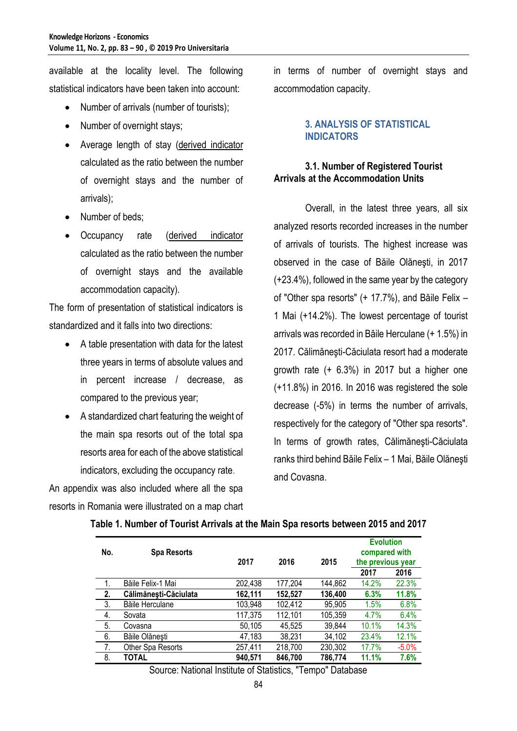available at the locality level. The following statistical indicators have been taken into account:

- Number of arrivals (number of tourists);
- Number of overnight stays;
- Average length of stay (derived indicator calculated as the ratio between the number of overnight stays and the number of arrivals);
- Number of beds:
- Occupancy rate (derived indicator calculated as the ratio between the number of overnight stays and the available accommodation capacity).

The form of presentation of statistical indicators is standardized and it falls into two directions:

- A table presentation with data for the latest three years in terms of absolute values and in percent increase / decrease, as compared to the previous year;
- A standardized chart featuring the weight of the main spa resorts out of the total spa resorts area for each of the above statistical indicators, excluding the occupancy rate.

An appendix was also included where all the spa resorts in Romania were illustrated on a map chart in terms of number of overnight stays and accommodation capacity.

## **3. ANALYSIS OF STATISTICAL INDICATORS**

## **3.1. Number of Registered Tourist Arrivals at the Accommodation Units**

Overall, in the latest three years, all six analyzed resorts recorded increases in the number of arrivals of tourists. The highest increase was observed in the case of Băile Olăneşti, in 2017 (+23.4%), followed in the same year by the category of "Other spa resorts" (+ 17.7%), and Băile Felix – 1 Mai (+14.2%). The lowest percentage of tourist arrivals was recorded in Băile Herculane (+ 1.5%) in 2017. Călimăneşti-Căciulata resort had a moderate growth rate (+ 6.3%) in 2017 but a higher one (+11.8%) in 2016. In 2016 was registered the sole decrease (-5%) in terms the number of arrivals, respectively for the category of "Other spa resorts". In terms of growth rates, Călimăneşti-Căciulata ranks third behind Băile Felix – 1 Mai, Băile Olăneşti and Covasna.

| No. | <b>Spa Resorts</b>    | 2017    | 2016    | 2015    | <b>Evolution</b><br>compared with<br>the previous year |         |
|-----|-----------------------|---------|---------|---------|--------------------------------------------------------|---------|
|     |                       |         |         |         | 2017                                                   | 2016    |
| 1.  | Băile Felix-1 Mai     | 202,438 | 177,204 | 144,862 | 14.2%                                                  | 22.3%   |
| 2.  | Călimănești-Căciulata | 162,111 | 152,527 | 136,400 | 6.3%                                                   | 11.8%   |
| 3.  | Băile Herculane       | 103,948 | 102,412 | 95,905  | 1.5%                                                   | 6.8%    |
| 4.  | Sovata                | 117,375 | 112,101 | 105,359 | 4.7%                                                   | 6.4%    |
| 5.  | Covasna               | 50,105  | 45,525  | 39,844  | 10.1%                                                  | 14.3%   |
| 6.  | Băile Olănești        | 47,183  | 38,231  | 34,102  | 23.4%                                                  | 12.1%   |
| 7.  | Other Spa Resorts     | 257,411 | 218,700 | 230,302 | 17.7%                                                  | $-5.0%$ |
| 8.  | TOTAL                 | 940,571 | 846,700 | 786,774 | 11.1%                                                  | 7.6%    |

# **Table 1. Number of Tourist Arrivals at the Main Spa resorts between 2015 and 2017**

Source: National Institute of Statistics, "Tempo" Database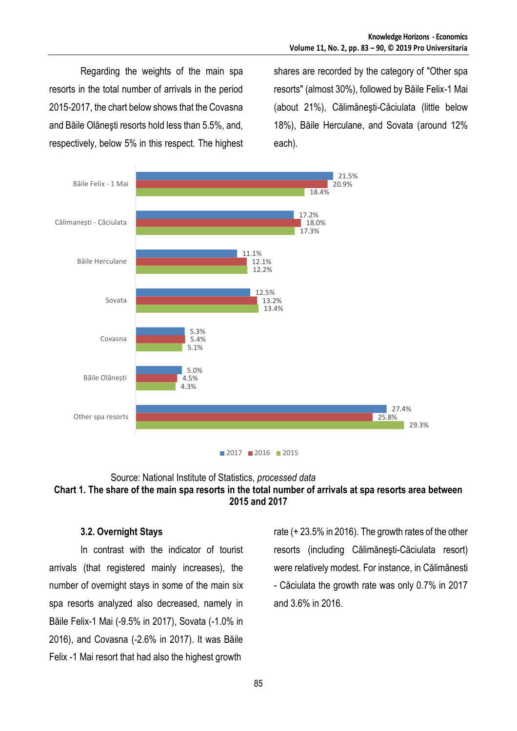Regarding the weights of the main spa resorts in the total number of arrivals in the period 2015-2017, the chart below shows that the Covasna and Băile Olăneşti resorts hold less than 5.5%, and, respectively, below 5% in this respect. The highest shares are recorded by the category of "Other spa resorts" (almost 30%), followed by Băile Felix-1 Mai (about 21%), Călimăneşti-Căciulata (little below 18%), Băile Herculane, and Sovata (around 12% each).



#### Source: National Institute of Statistics, *processed data* **Chart 1. The share of the main spa resorts in the total number of arrivals at spa resorts area between 2015 and 2017**

## **3.2. Overnight Stays**

In contrast with the indicator of tourist arrivals (that registered mainly increases), the number of overnight stays in some of the main six spa resorts analyzed also decreased, namely in Băile Felix-1 Mai (-9.5% in 2017), Sovata (-1.0% in 2016), and Covasna (-2.6% in 2017). It was Băile Felix -1 Mai resort that had also the highest growth

rate (+ 23.5% in 2016). The growth rates of the other resorts (including Călimăneşti-Căciulata resort) were relatively modest. For instance, in Călimănesti - Căciulata the growth rate was only 0.7% in 2017 and 3.6% in 2016.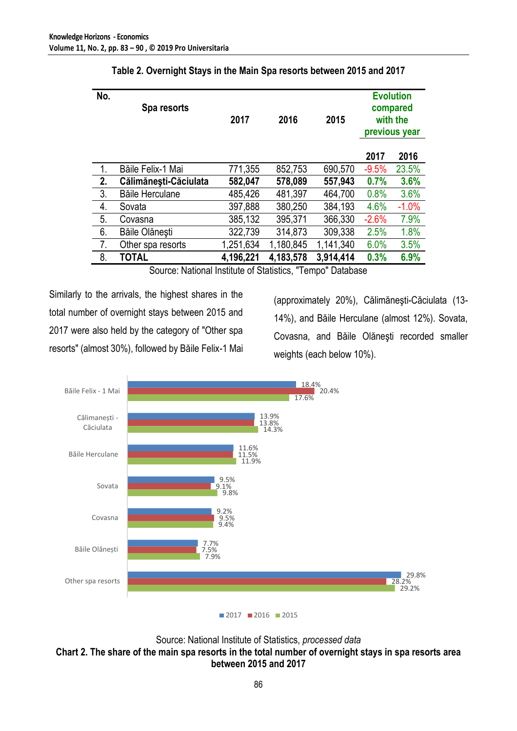| No.            | Spa resorts           | 2017      | 2016      | 2015      | <b>Evolution</b><br>compared<br>with the<br>previous year |         |
|----------------|-----------------------|-----------|-----------|-----------|-----------------------------------------------------------|---------|
|                |                       |           |           |           | 2017                                                      | 2016    |
| $\mathbf{1}$ . | Băile Felix-1 Mai     | 771,355   | 852,753   | 690,570   | $-9.5%$                                                   | 23.5%   |
| 2.             | Călimănești-Căciulata | 582,047   | 578,089   | 557,943   | 0.7%                                                      | 3.6%    |
| 3.             | Băile Herculane       | 485,426   | 481,397   | 464,700   | 0.8%                                                      | 3.6%    |
| 4.             | Sovata                | 397,888   | 380,250   | 384,193   | 4.6%                                                      | $-1.0%$ |
| 5.             | Covasna               | 385,132   | 395,371   | 366,330   | $-2.6%$                                                   | 7.9%    |
| 6.             | Băile Olănești        | 322,739   | 314,873   | 309,338   | 2.5%                                                      | 1.8%    |
| 7.             | Other spa resorts     | 1,251,634 | 1,180,845 | 1,141,340 | 6.0%                                                      | 3.5%    |
| 8.             | TOTAL                 | 4,196,221 | 4,183,578 | 3,914,414 | 0.3%                                                      | 6.9%    |

Source: National Institute of Statistics, "Tempo" Database

Similarly to the arrivals, the highest shares in the total number of overnight stays between 2015 and 2017 were also held by the category of "Other spa resorts" (almost 30%), followed by Băile Felix-1 Mai

(approximately 20%), Călimăneşti-Căciulata (13- 14%), and Băile Herculane (almost 12%). Sovata, Covasna, and Băile Olăneşti recorded smaller weights (each below 10%).



Source: National Institute of Statistics, *processed data* **Chart 2. The share of the main spa resorts in the total number of overnight stays in spa resorts area between 2015 and 2017**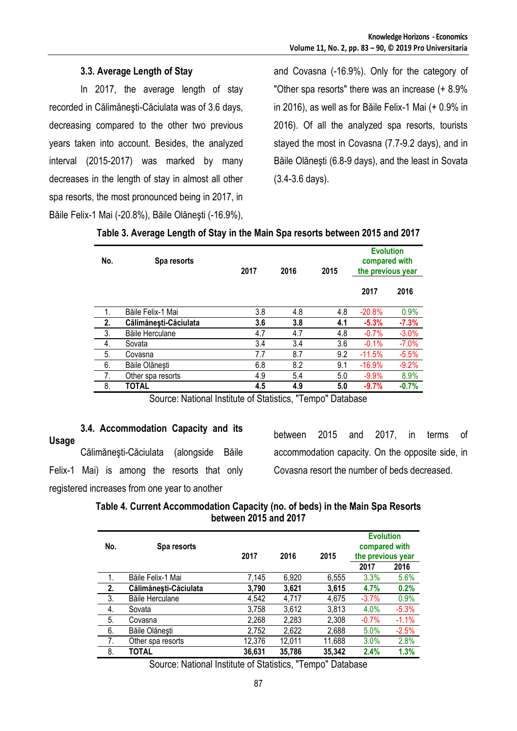# **3.3. Average Length of Stay**

In 2017, the average length of stay recorded in Călimăneşti-Căciulata was of 3.6 days, decreasing compared to the other two previous years taken into account. Besides, the analyzed interval (2015-2017) was marked by many decreases in the length of stay in almost all other spa resorts, the most pronounced being in 2017, in Băile Felix-1 Mai (-20.8%), Băile Olăneşti (-16.9%),

and Covasna (-16.9%). Only for the category of "Other spa resorts" there was an increase (+ 8.9% in 2016), as well as for Băile Felix-1 Mai (+ 0.9% in 2016). Of all the analyzed spa resorts, tourists stayed the most in Covasna (7.7-9.2 days), and in Băile Olăneşti (6.8-9 days), and the least in Sovata (3.4-3.6 days).

| No. | Spa resorts           | 2017 | 2016 | 2015 | <b>Evolution</b><br>compared with<br>the previous year |         |
|-----|-----------------------|------|------|------|--------------------------------------------------------|---------|
|     |                       |      |      |      | 2017                                                   | 2016    |
| 1.  | Băile Felix-1 Mai     | 3.8  | 4.8  | 4.8  | $-20.8%$                                               | 0.9%    |
| 2.  | Călimănești-Căciulata | 3.6  | 3.8  | 4.1  | $-5.3%$                                                | $-7.3%$ |
| 3.  | Băile Herculane       | 4.7  | 4.7  | 4.8  | $-0.7%$                                                | $-3.0%$ |
| 4.  | Sovata                | 3.4  | 3.4  | 3.6  | $-0.1%$                                                | $-7.0%$ |
| 5.  | Covasna               | 7.7  | 8.7  | 9.2  | $-11.5%$                                               | $-5.5%$ |
| 6.  | Băile Olănești        | 6.8  | 8.2  | 9.1  | $-16.9%$                                               | $-9.2%$ |
| 7.  | Other spa resorts     | 4.9  | 5.4  | 5.0  | $-9.9%$                                                | 8.9%    |
| 8.  | TOTAL                 | 4.5  | 4.9  | 5.0  | $-9.7%$                                                | $-0.7%$ |

Source: National Institute of Statistics, "Tempo" Database

**3.4. Accommodation Capacity and its Usage** Călimăneşti-Căciulata (alongside Băile Felix-1 Mai) is among the resorts that only registered increases from one year to another

between 2015 and 2017, in terms of accommodation capacity. On the opposite side, in Covasna resort the number of beds decreased.

| Table 4. Current Accommodation Capacity (no. of beds) in the Main Spa Resorts |
|-------------------------------------------------------------------------------|
| between 2015 and 2017                                                         |

| No. | Spa resorts           | 2017   | 2016   | 2015   | <b>Evolution</b><br>compared with<br>the previous year |         |
|-----|-----------------------|--------|--------|--------|--------------------------------------------------------|---------|
|     |                       |        |        |        | 2017                                                   | 2016    |
| 1.  | Băile Felix-1 Mai     | 7,145  | 6,920  | 6,555  | 3.3%                                                   | 5.6%    |
| 2.  | Călimănești-Căciulata | 3,790  | 3,621  | 3,615  | 4.7%                                                   | 0.2%    |
| 3.  | Băile Herculane       | 4,542  | 4,717  | 4,675  | $-3.7%$                                                | 0.9%    |
| 4.  | Sovata                | 3,758  | 3,612  | 3,813  | 4.0%                                                   | $-5.3%$ |
| 5.  | Covasna               | 2,268  | 2,283  | 2,308  | $-0.7%$                                                | $-1.1%$ |
| 6.  | Băile Olănești        | 2,752  | 2,622  | 2,688  | 5.0%                                                   | $-2.5%$ |
| 7.  | Other spa resorts     | 12,376 | 12,011 | 11,688 | 3.0%                                                   | 2.8%    |
| 8.  | TOTAL                 | 36,631 | 35,786 | 35,342 | 2.4%                                                   | 1.3%    |

Source: National Institute of Statistics, "Tempo" Database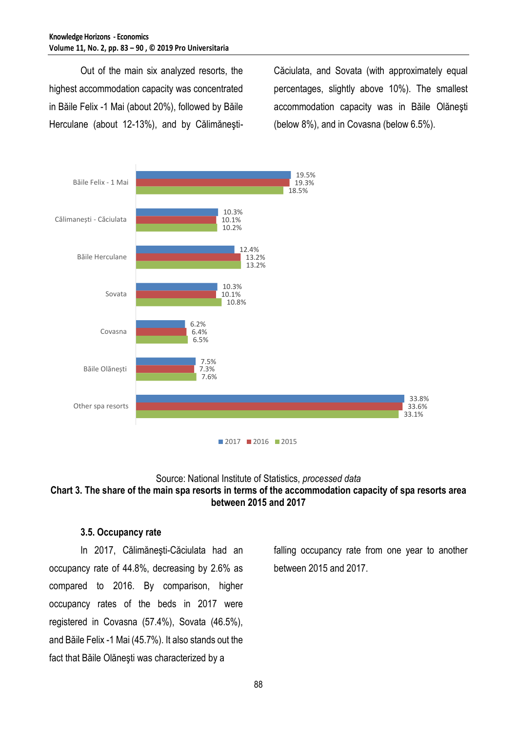Out of the main six analyzed resorts, the highest accommodation capacity was concentrated in Băile Felix -1 Mai (about 20%), followed by Băile Herculane (about 12-13%), and by CălimăneştiCăciulata, and Sovata (with approximately equal percentages, slightly above 10%). The smallest accommodation capacity was in Băile Olăneşti (below 8%), and in Covasna (below 6.5%).



### Source: National Institute of Statistics, *processed data* **Chart 3. The share of the main spa resorts in terms of the accommodation capacity of spa resorts area between 2015 and 2017**

#### **3.5. Occupancy rate**

In 2017, Călimăneşti-Căciulata had an occupancy rate of 44.8%, decreasing by 2.6% as compared to 2016. By comparison, higher occupancy rates of the beds in 2017 were registered in Covasna (57.4%), Sovata (46.5%), and Băile Felix -1 Mai (45.7%). It also stands out the fact that Băile Olăneşti was characterized by a

falling occupancy rate from one year to another between 2015 and 2017.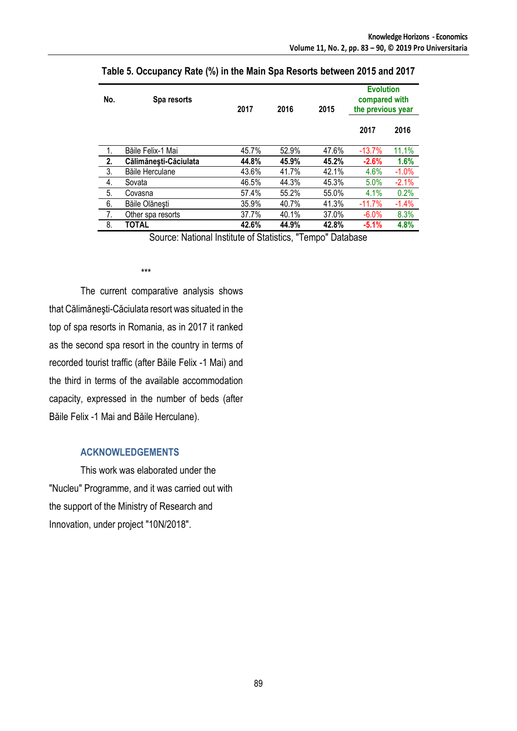| No. | Spa resorts           | 2017  | 2016  | 2015  | <b>Evolution</b><br>compared with<br>the previous year |         |
|-----|-----------------------|-------|-------|-------|--------------------------------------------------------|---------|
|     |                       |       |       |       | 2017                                                   | 2016    |
| 1.  | Băile Felix-1 Mai     | 45.7% | 52.9% | 47.6% | $-13.7%$                                               | 11.1%   |
| 2.  | Călimănești-Căciulata | 44.8% | 45.9% | 45.2% | $-2.6%$                                                | 1.6%    |
| 3.  | Băile Herculane       | 43.6% | 41.7% | 42.1% | 4.6%                                                   | $-1.0%$ |
| 4.  | Sovata                | 46.5% | 44.3% | 45.3% | 5.0%                                                   | $-2.1%$ |
| 5.  | Covasna               | 57.4% | 55.2% | 55.0% | 4.1%                                                   | 0.2%    |
| 6.  | Băile Olănești        | 35.9% | 40.7% | 41.3% | $-11.7%$                                               | $-1.4%$ |
| 7.  | Other spa resorts     | 37.7% | 40.1% | 37.0% | $-6.0%$                                                | 8.3%    |
| 8.  | TOTAL                 | 42.6% | 44.9% | 42.8% | $-5.1%$                                                | 4.8%    |

**Table 5. Occupancy Rate (%) in the Main Spa Resorts between 2015 and 2017**

Source: National Institute of Statistics, "Tempo" Database

\*\*\*

The current comparative analysis shows that Călimăneşti-Căciulata resort was situated in the top of spa resorts in Romania, as in 2017 it ranked as the second spa resort in the country in terms of recorded tourist traffic (after Băile Felix -1 Mai) and the third in terms of the available accommodation capacity, expressed in the number of beds (after Băile Felix -1 Mai and Băile Herculane).

#### **ACKNOWLEDGEMENTS**

This work was elaborated under the "Nucleu" Programme, and it was carried out with the support of the Ministry of Research and Innovation, under project "10N/2018".